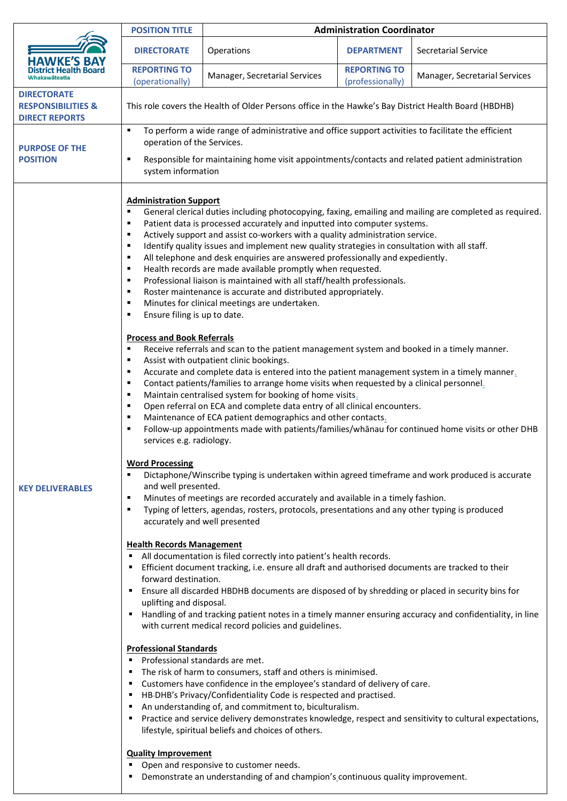|                                                                              | <b>POSITION TITLE</b>                                                                                                                                                                                                                                                                                                                                                                                                                                                                                                                       | <b>Administration Coordinator</b>                                                                                                                                                                                                                                                                                                                                                                                                                                                                                                                                                                                                                                                                                                                                                                                                                                                                                                                                                                                                                                                                                                                                                                                                                                                                                                                                                                                                                                                                                                                                                                                                                                                                                                                                                                                                                                                                                                                                                                                                                                                                                                                                                                                                                                                                                                                                                                                                                                                                                                                        |                                         |                               |  |
|------------------------------------------------------------------------------|---------------------------------------------------------------------------------------------------------------------------------------------------------------------------------------------------------------------------------------------------------------------------------------------------------------------------------------------------------------------------------------------------------------------------------------------------------------------------------------------------------------------------------------------|----------------------------------------------------------------------------------------------------------------------------------------------------------------------------------------------------------------------------------------------------------------------------------------------------------------------------------------------------------------------------------------------------------------------------------------------------------------------------------------------------------------------------------------------------------------------------------------------------------------------------------------------------------------------------------------------------------------------------------------------------------------------------------------------------------------------------------------------------------------------------------------------------------------------------------------------------------------------------------------------------------------------------------------------------------------------------------------------------------------------------------------------------------------------------------------------------------------------------------------------------------------------------------------------------------------------------------------------------------------------------------------------------------------------------------------------------------------------------------------------------------------------------------------------------------------------------------------------------------------------------------------------------------------------------------------------------------------------------------------------------------------------------------------------------------------------------------------------------------------------------------------------------------------------------------------------------------------------------------------------------------------------------------------------------------------------------------------------------------------------------------------------------------------------------------------------------------------------------------------------------------------------------------------------------------------------------------------------------------------------------------------------------------------------------------------------------------------------------------------------------------------------------------------------------------|-----------------------------------------|-------------------------------|--|
| <b>HAWKE'S BAY</b><br><b>District Health Board</b><br>Whakawāteatia          | <b>DIRECTORATE</b>                                                                                                                                                                                                                                                                                                                                                                                                                                                                                                                          | Operations                                                                                                                                                                                                                                                                                                                                                                                                                                                                                                                                                                                                                                                                                                                                                                                                                                                                                                                                                                                                                                                                                                                                                                                                                                                                                                                                                                                                                                                                                                                                                                                                                                                                                                                                                                                                                                                                                                                                                                                                                                                                                                                                                                                                                                                                                                                                                                                                                                                                                                                                               | <b>DEPARTMENT</b>                       | Secretarial Service           |  |
|                                                                              | <b>REPORTING TO</b><br>(operationally)                                                                                                                                                                                                                                                                                                                                                                                                                                                                                                      | Manager, Secretarial Services                                                                                                                                                                                                                                                                                                                                                                                                                                                                                                                                                                                                                                                                                                                                                                                                                                                                                                                                                                                                                                                                                                                                                                                                                                                                                                                                                                                                                                                                                                                                                                                                                                                                                                                                                                                                                                                                                                                                                                                                                                                                                                                                                                                                                                                                                                                                                                                                                                                                                                                            | <b>REPORTING TO</b><br>(professionally) | Manager, Secretarial Services |  |
| <b>DIRECTORATE</b><br><b>RESPONSIBILITIES &amp;</b><br><b>DIRECT REPORTS</b> | This role covers the Health of Older Persons office in the Hawke's Bay District Health Board (HBDHB)                                                                                                                                                                                                                                                                                                                                                                                                                                        |                                                                                                                                                                                                                                                                                                                                                                                                                                                                                                                                                                                                                                                                                                                                                                                                                                                                                                                                                                                                                                                                                                                                                                                                                                                                                                                                                                                                                                                                                                                                                                                                                                                                                                                                                                                                                                                                                                                                                                                                                                                                                                                                                                                                                                                                                                                                                                                                                                                                                                                                                          |                                         |                               |  |
| <b>PURPOSE OF THE</b><br><b>POSITION</b>                                     | To perform a wide range of administrative and office support activities to facilitate the efficient<br>٠<br>operation of the Services.<br>Responsible for maintaining home visit appointments/contacts and related patient administration<br>٠<br>system information                                                                                                                                                                                                                                                                        |                                                                                                                                                                                                                                                                                                                                                                                                                                                                                                                                                                                                                                                                                                                                                                                                                                                                                                                                                                                                                                                                                                                                                                                                                                                                                                                                                                                                                                                                                                                                                                                                                                                                                                                                                                                                                                                                                                                                                                                                                                                                                                                                                                                                                                                                                                                                                                                                                                                                                                                                                          |                                         |                               |  |
| <b>KEY DELIVERABLES</b>                                                      | <b>Administration Support</b><br>٠<br>٠<br>٠<br>٠<br>٠<br>٠<br>٠<br>٠<br>٠<br>Ensure filing is up to date.<br>٠<br><b>Process and Book Referrals</b><br>٠<br>٠<br>٠<br>٠<br>٠<br>٠<br>٠<br>٠<br>services e.g. radiology.<br><b>Word Processing</b><br>٠<br>and well presented.<br>٠<br>٠<br>accurately and well presented<br><b>Health Records Management</b><br>forward destination.<br>uplifting and disposal.<br><b>Professional Standards</b><br>Professional standards are met.<br>٠<br>٠<br>٠<br>٠<br>٠<br><b>Quality Improvement</b> | General clerical duties including photocopying, faxing, emailing and mailing are completed as required.<br>Patient data is processed accurately and inputted into computer systems.<br>Actively support and assist co-workers with a quality administration service.<br>Identify quality issues and implement new quality strategies in consultation with all staff.<br>All telephone and desk enquiries are answered professionally and expediently.<br>Health records are made available promptly when requested.<br>Professional liaison is maintained with all staff/health professionals.<br>Roster maintenance is accurate and distributed appropriately.<br>Minutes for clinical meetings are undertaken.<br>Receive referrals and scan to the patient management system and booked in a timely manner.<br>Assist with outpatient clinic bookings.<br>Accurate and complete data is entered into the patient management system in a timely manner.<br>Contact patients/families to arrange home visits when requested by a clinical personnel.<br>Maintain centralised system for booking of home visits.<br>Open referral on ECA and complete data entry of all clinical encounters.<br>Maintenance of ECA patient demographics and other contacts.<br>Follow-up appointments made with patients/families/whanau for continued home visits or other DHB<br>Dictaphone/Winscribe typing is undertaken within agreed timeframe and work produced is accurate<br>Minutes of meetings are recorded accurately and available in a timely fashion.<br>Typing of letters, agendas, rosters, protocols, presentations and any other typing is produced<br>All documentation is filed correctly into patient's health records.<br>Efficient document tracking, i.e. ensure all draft and authorised documents are tracked to their<br>Ensure all discarded HBDHB documents are disposed of by shredding or placed in security bins for<br>Handling of and tracking patient notes in a timely manner ensuring accuracy and confidentiality, in line<br>with current medical record policies and guidelines.<br>The risk of harm to consumers, staff and others is minimised.<br>Customers have confidence in the employee's standard of delivery of care.<br>HB-DHB's Privacy/Confidentiality Code is respected and practised.<br>An understanding of, and commitment to, biculturalism.<br>Practice and service delivery demonstrates knowledge, respect and sensitivity to cultural expectations,<br>lifestyle, spiritual beliefs and choices of others. |                                         |                               |  |
|                                                                              |                                                                                                                                                                                                                                                                                                                                                                                                                                                                                                                                             | Open and responsive to customer needs.<br>Demonstrate an understanding of and champion's continuous quality improvement.                                                                                                                                                                                                                                                                                                                                                                                                                                                                                                                                                                                                                                                                                                                                                                                                                                                                                                                                                                                                                                                                                                                                                                                                                                                                                                                                                                                                                                                                                                                                                                                                                                                                                                                                                                                                                                                                                                                                                                                                                                                                                                                                                                                                                                                                                                                                                                                                                                 |                                         |                               |  |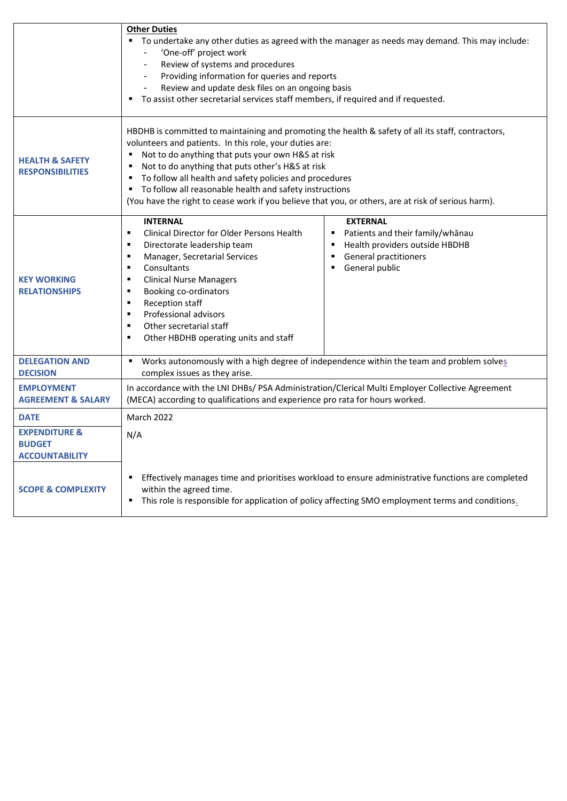|                                                                    | <b>Other Duties</b><br>" To undertake any other duties as agreed with the manager as needs may demand. This may include:<br>'One-off' project work<br>Review of systems and procedures<br>Providing information for queries and reports<br>Review and update desk files on an ongoing basis<br>To assist other secretarial services staff members, if required and if requested.                                                                                                                                                                                                                                                                                                               |  |  |  |
|--------------------------------------------------------------------|------------------------------------------------------------------------------------------------------------------------------------------------------------------------------------------------------------------------------------------------------------------------------------------------------------------------------------------------------------------------------------------------------------------------------------------------------------------------------------------------------------------------------------------------------------------------------------------------------------------------------------------------------------------------------------------------|--|--|--|
| <b>HEALTH &amp; SAFETY</b><br><b>RESPONSIBILITIES</b>              | HBDHB is committed to maintaining and promoting the health & safety of all its staff, contractors,<br>volunteers and patients. In this role, your duties are:<br>Not to do anything that puts your own H&S at risk<br>٠<br>Not to do anything that puts other's H&S at risk<br>٠<br>" To follow all health and safety policies and procedures<br>To follow all reasonable health and safety instructions<br>٠<br>(You have the right to cease work if you believe that you, or others, are at risk of serious harm).                                                                                                                                                                           |  |  |  |
| <b>KEY WORKING</b><br><b>RELATIONSHIPS</b>                         | <b>INTERNAL</b><br><b>EXTERNAL</b><br>Clinical Director for Older Persons Health<br>Patients and their family/whanau<br>$\blacksquare$<br>٠<br>Health providers outside HBDHB<br>Directorate leadership team<br>$\blacksquare$<br>п<br><b>General practitioners</b><br>Manager, Secretarial Services<br>$\blacksquare$<br>$\blacksquare$<br>Consultants<br>General public<br>$\blacksquare$<br>$\blacksquare$<br><b>Clinical Nurse Managers</b><br>$\blacksquare$<br>Booking co-ordinators<br>$\blacksquare$<br><b>Reception staff</b><br>$\blacksquare$<br>Professional advisors<br>$\blacksquare$<br>Other secretarial staff<br>$\blacksquare$<br>Other HBDHB operating units and staff<br>٠ |  |  |  |
| <b>DELEGATION AND</b><br><b>DECISION</b>                           | Works autonomously with a high degree of independence within the team and problem solves<br>$\blacksquare$<br>complex issues as they arise.                                                                                                                                                                                                                                                                                                                                                                                                                                                                                                                                                    |  |  |  |
| <b>EMPLOYMENT</b><br><b>AGREEMENT &amp; SALARY</b>                 | In accordance with the LNI DHBs/ PSA Administration/Clerical Multi Employer Collective Agreement<br>(MECA) according to qualifications and experience pro rata for hours worked.                                                                                                                                                                                                                                                                                                                                                                                                                                                                                                               |  |  |  |
| <b>DATE</b>                                                        | <b>March 2022</b>                                                                                                                                                                                                                                                                                                                                                                                                                                                                                                                                                                                                                                                                              |  |  |  |
| <b>EXPENDITURE &amp;</b><br><b>BUDGET</b><br><b>ACCOUNTABILITY</b> | N/A                                                                                                                                                                                                                                                                                                                                                                                                                                                                                                                                                                                                                                                                                            |  |  |  |
| <b>SCOPE &amp; COMPLEXITY</b>                                      | Effectively manages time and prioritises workload to ensure administrative functions are completed<br>٠<br>within the agreed time.<br>■ This role is responsible for application of policy affecting SMO employment terms and conditions.                                                                                                                                                                                                                                                                                                                                                                                                                                                      |  |  |  |